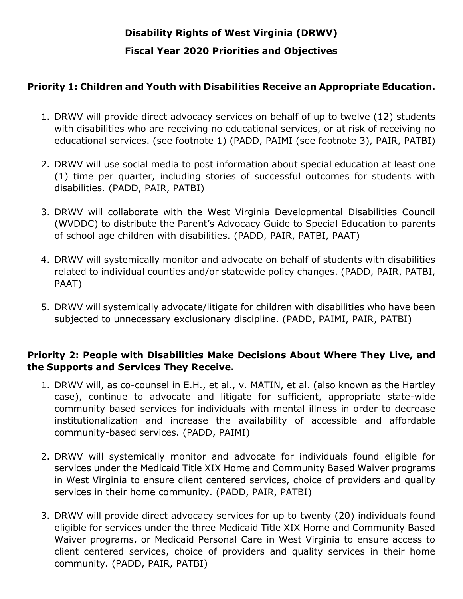# **Disability Rights of West Virginia (DRWV) Fiscal Year 2020 Priorities and Objectives**

# **Priority 1: Children and Youth with Disabilities Receive an Appropriate Education.**

- 1. DRWV will provide direct advocacy services on behalf of up to twelve (12) students with disabilities who are receiving no educational services, or at risk of receiving no educational services. (see footnote 1) (PADD, PAIMI (see footnote 3), PAIR, PATBI)
- 2. DRWV will use social media to post information about special education at least one (1) time per quarter, including stories of successful outcomes for students with disabilities. (PADD, PAIR, PATBI)
- 3. DRWV will collaborate with the West Virginia Developmental Disabilities Council (WVDDC) to distribute the Parent's Advocacy Guide to Special Education to parents of school age children with disabilities. (PADD, PAIR, PATBI, PAAT)
- 4. DRWV will systemically monitor and advocate on behalf of students with disabilities related to individual counties and/or statewide policy changes. (PADD, PAIR, PATBI, PAAT)
- 5. DRWV will systemically advocate/litigate for children with disabilities who have been subjected to unnecessary exclusionary discipline. (PADD, PAIMI, PAIR, PATBI)

# **Priority 2: People with Disabilities Make Decisions About Where They Live, and the Supports and Services They Receive.**

- 1. DRWV will, as co-counsel in E.H., et al., v. MATIN, et al. (also known as the Hartley case), continue to advocate and litigate for sufficient, appropriate state-wide community based services for individuals with mental illness in order to decrease institutionalization and increase the availability of accessible and affordable community-based services. (PADD, PAIMI)
- 2. DRWV will systemically monitor and advocate for individuals found eligible for services under the Medicaid Title XIX Home and Community Based Waiver programs in West Virginia to ensure client centered services, choice of providers and quality services in their home community. (PADD, PAIR, PATBI)
- 3. DRWV will provide direct advocacy services for up to twenty (20) individuals found eligible for services under the three Medicaid Title XIX Home and Community Based Waiver programs, or Medicaid Personal Care in West Virginia to ensure access to client centered services, choice of providers and quality services in their home community. (PADD, PAIR, PATBI)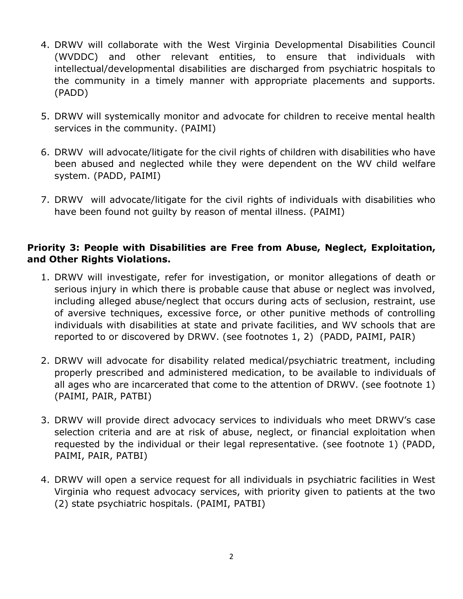- 4. DRWV will collaborate with the West Virginia Developmental Disabilities Council (WVDDC) and other relevant entities, to ensure that individuals with intellectual/developmental disabilities are discharged from psychiatric hospitals to the community in a timely manner with appropriate placements and supports. (PADD)
- 5. DRWV will systemically monitor and advocate for children to receive mental health services in the community. (PAIMI)
- 6. DRWV will advocate/litigate for the civil rights of children with disabilities who have been abused and neglected while they were dependent on the WV child welfare system. (PADD, PAIMI)
- 7. DRWV will advocate/litigate for the civil rights of individuals with disabilities who have been found not guilty by reason of mental illness. (PAIMI)

## **Priority 3: People with Disabilities are Free from Abuse, Neglect, Exploitation, and Other Rights Violations.**

- 1. DRWV will investigate, refer for investigation, or monitor allegations of death or serious injury in which there is probable cause that abuse or neglect was involved, including alleged abuse/neglect that occurs during acts of seclusion, restraint, use of aversive techniques, excessive force, or other punitive methods of controlling individuals with disabilities at state and private facilities, and WV schools that are reported to or discovered by DRWV. (see footnotes 1, 2) (PADD, PAIMI, PAIR)
- 2. DRWV will advocate for disability related medical/psychiatric treatment, including properly prescribed and administered medication, to be available to individuals of all ages who are incarcerated that come to the attention of DRWV. (see footnote 1) (PAIMI, PAIR, PATBI)
- 3. DRWV will provide direct advocacy services to individuals who meet DRWV's case selection criteria and are at risk of abuse, neglect, or financial exploitation when requested by the individual or their legal representative. (see footnote 1) (PADD, PAIMI, PAIR, PATBI)
- 4. DRWV will open a service request for all individuals in psychiatric facilities in West Virginia who request advocacy services, with priority given to patients at the two (2) state psychiatric hospitals. (PAIMI, PATBI)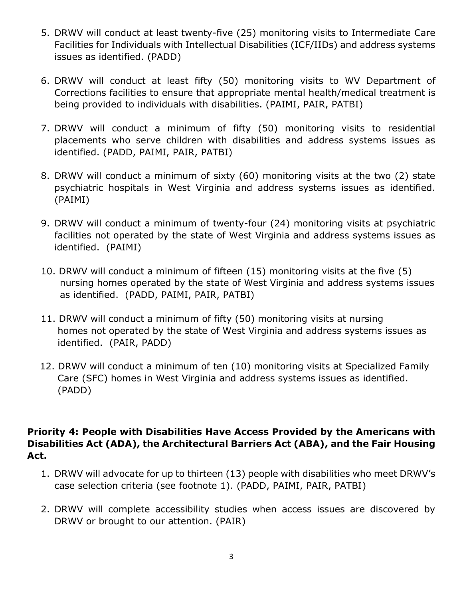- 5. DRWV will conduct at least twenty-five (25) monitoring visits to Intermediate Care Facilities for Individuals with Intellectual Disabilities (ICF/IIDs) and address systems issues as identified. (PADD)
- 6. DRWV will conduct at least fifty (50) monitoring visits to WV Department of Corrections facilities to ensure that appropriate mental health/medical treatment is being provided to individuals with disabilities. (PAIMI, PAIR, PATBI)
- 7. DRWV will conduct a minimum of fifty (50) monitoring visits to residential placements who serve children with disabilities and address systems issues as identified. (PADD, PAIMI, PAIR, PATBI)
- 8. DRWV will conduct a minimum of sixty (60) monitoring visits at the two (2) state psychiatric hospitals in West Virginia and address systems issues as identified. (PAIMI)
- 9. DRWV will conduct a minimum of twenty-four (24) monitoring visits at psychiatric facilities not operated by the state of West Virginia and address systems issues as identified. (PAIMI)
- 10. DRWV will conduct a minimum of fifteen (15) monitoring visits at the five (5) nursing homes operated by the state of West Virginia and address systems issues as identified. (PADD, PAIMI, PAIR, PATBI)
- 11. DRWV will conduct a minimum of fifty (50) monitoring visits at nursing homes not operated by the state of West Virginia and address systems issues as identified. (PAIR, PADD)
- 12. DRWV will conduct a minimum of ten (10) monitoring visits at Specialized Family Care (SFC) homes in West Virginia and address systems issues as identified. (PADD)

## **Priority 4: People with Disabilities Have Access Provided by the Americans with Disabilities Act (ADA), the Architectural Barriers Act (ABA), and the Fair Housing Act.**

- 1. DRWV will advocate for up to thirteen (13) people with disabilities who meet DRWV's case selection criteria (see footnote 1). (PADD, PAIMI, PAIR, PATBI)
- 2. DRWV will complete accessibility studies when access issues are discovered by DRWV or brought to our attention. (PAIR)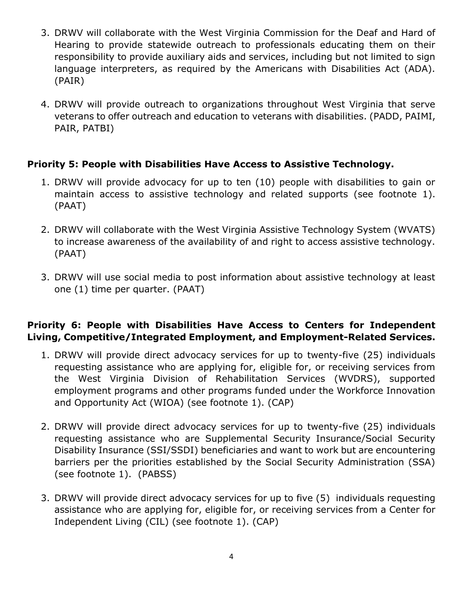- 3. DRWV will collaborate with the West Virginia Commission for the Deaf and Hard of Hearing to provide statewide outreach to professionals educating them on their responsibility to provide auxiliary aids and services, including but not limited to sign language interpreters, as required by the Americans with Disabilities Act (ADA). (PAIR)
- 4. DRWV will provide outreach to organizations throughout West Virginia that serve veterans to offer outreach and education to veterans with disabilities. (PADD, PAIMI, PAIR, PATBI)

# **Priority 5: People with Disabilities Have Access to Assistive Technology.**

- 1. DRWV will provide advocacy for up to ten (10) people with disabilities to gain or maintain access to assistive technology and related supports (see footnote 1). (PAAT)
- 2. DRWV will collaborate with the West Virginia Assistive Technology System (WVATS) to increase awareness of the availability of and right to access assistive technology. (PAAT)
- 3. DRWV will use social media to post information about assistive technology at least one (1) time per quarter. (PAAT)

## **Priority 6: People with Disabilities Have Access to Centers for Independent Living, Competitive/Integrated Employment, and Employment-Related Services.**

- 1. DRWV will provide direct advocacy services for up to twenty-five (25) individuals requesting assistance who are applying for, eligible for, or receiving services from the West Virginia Division of Rehabilitation Services (WVDRS), supported employment programs and other programs funded under the Workforce Innovation and Opportunity Act (WIOA) (see footnote 1). (CAP)
- 2. DRWV will provide direct advocacy services for up to twenty-five (25) individuals requesting assistance who are Supplemental Security Insurance/Social Security Disability Insurance (SSI/SSDI) beneficiaries and want to work but are encountering barriers per the priorities established by the Social Security Administration (SSA) (see footnote 1). (PABSS)
- 3. DRWV will provide direct advocacy services for up to five (5) individuals requesting assistance who are applying for, eligible for, or receiving services from a Center for Independent Living (CIL) (see footnote 1). (CAP)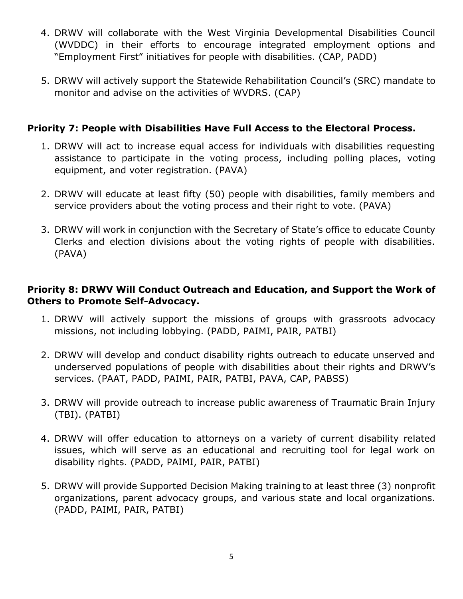- 4. DRWV will collaborate with the West Virginia Developmental Disabilities Council (WVDDC) in their efforts to encourage integrated employment options and "Employment First" initiatives for people with disabilities. (CAP, PADD)
- 5. DRWV will actively support the Statewide Rehabilitation Council's (SRC) mandate to monitor and advise on the activities of WVDRS. (CAP)

## **Priority 7: People with Disabilities Have Full Access to the Electoral Process.**

- 1. DRWV will act to increase equal access for individuals with disabilities requesting assistance to participate in the voting process, including polling places, voting equipment, and voter registration. (PAVA)
- 2. DRWV will educate at least fifty (50) people with disabilities, family members and service providers about the voting process and their right to vote. (PAVA)
- 3. DRWV will work in conjunction with the Secretary of State's office to educate County Clerks and election divisions about the voting rights of people with disabilities. (PAVA)

# **Priority 8: DRWV Will Conduct Outreach and Education, and Support the Work of Others to Promote Self-Advocacy.**

- 1. DRWV will actively support the missions of groups with grassroots advocacy missions, not including lobbying. (PADD, PAIMI, PAIR, PATBI)
- 2. DRWV will develop and conduct disability rights outreach to educate unserved and underserved populations of people with disabilities about their rights and DRWV's services. (PAAT, PADD, PAIMI, PAIR, PATBI, PAVA, CAP, PABSS)
- 3. DRWV will provide outreach to increase public awareness of Traumatic Brain Injury (TBI). (PATBI)
- 4. DRWV will offer education to attorneys on a variety of current disability related issues, which will serve as an educational and recruiting tool for legal work on disability rights. (PADD, PAIMI, PAIR, PATBI)
- 5. DRWV will provide Supported Decision Making training to at least three (3) nonprofit organizations, parent advocacy groups, and various state and local organizations. (PADD, PAIMI, PAIR, PATBI)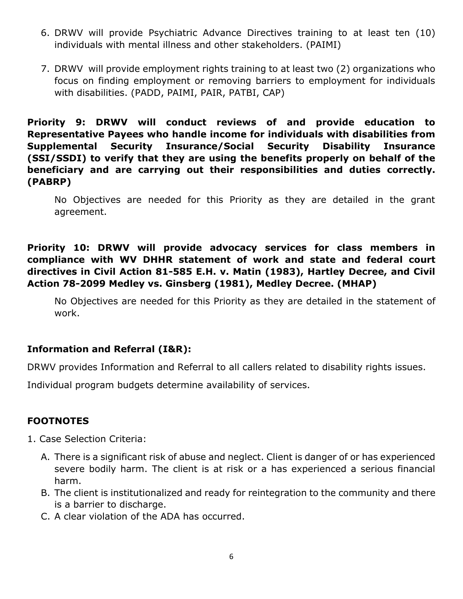- 6. DRWV will provide Psychiatric Advance Directives training to at least ten (10) individuals with mental illness and other stakeholders. (PAIMI)
- 7. DRWV will provide employment rights training to at least two (2) organizations who focus on finding employment or removing barriers to employment for individuals with disabilities. (PADD, PAIMI, PAIR, PATBI, CAP)

**Priority 9: DRWV will conduct reviews of and provide education to Representative Payees who handle income for individuals with disabilities from Supplemental Security Insurance/Social Security Disability Insurance (SSI/SSDI) to verify that they are using the benefits properly on behalf of the beneficiary and are carrying out their responsibilities and duties correctly. (PABRP)**

No Objectives are needed for this Priority as they are detailed in the grant agreement.

**Priority 10: DRWV will provide advocacy services for class members in compliance with WV DHHR statement of work and state and federal court directives in Civil Action 81-585 E.H. v. Matin (1983), Hartley Decree, and Civil Action 78-2099 Medley vs. Ginsberg (1981), Medley Decree. (MHAP)**

No Objectives are needed for this Priority as they are detailed in the statement of work.

#### **Information and Referral (I&R):**

DRWV provides Information and Referral to all callers related to disability rights issues.

Individual program budgets determine availability of services.

#### **FOOTNOTES**

- 1. Case Selection Criteria:
	- A. There is a significant risk of abuse and neglect. Client is danger of or has experienced severe bodily harm. The client is at risk or a has experienced a serious financial harm.
	- B. The client is institutionalized and ready for reintegration to the community and there is a barrier to discharge.
	- C. A clear violation of the ADA has occurred.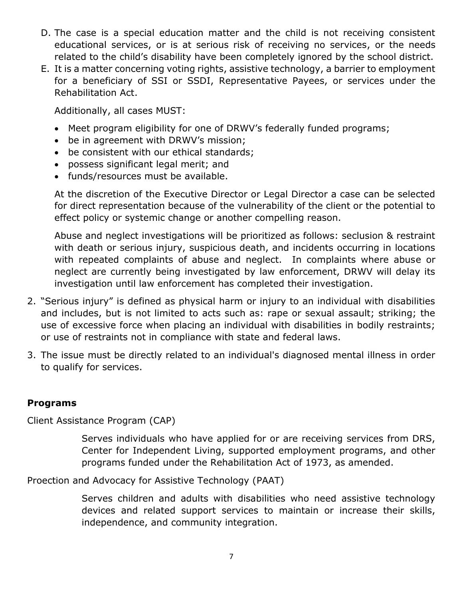- D. The case is a special education matter and the child is not receiving consistent educational services, or is at serious risk of receiving no services, or the needs related to the child's disability have been completely ignored by the school district.
- E. It is a matter concerning voting rights, assistive technology, a barrier to employment for a beneficiary of SSI or SSDI, Representative Payees, or services under the Rehabilitation Act.

Additionally, all cases MUST:

- Meet program eligibility for one of DRWV's federally funded programs;
- be in agreement with DRWV's mission;
- be consistent with our ethical standards;
- possess significant legal merit; and
- funds/resources must be available.

At the discretion of the Executive Director or Legal Director a case can be selected for direct representation because of the vulnerability of the client or the potential to effect policy or systemic change or another compelling reason.

Abuse and neglect investigations will be prioritized as follows: seclusion & restraint with death or serious injury, suspicious death, and incidents occurring in locations with repeated complaints of abuse and neglect. In complaints where abuse or neglect are currently being investigated by law enforcement, DRWV will delay its investigation until law enforcement has completed their investigation.

- 2. "Serious injury" is defined as physical harm or injury to an individual with disabilities and includes, but is not limited to acts such as: rape or sexual assault; striking; the use of excessive force when placing an individual with disabilities in bodily restraints; or use of restraints not in compliance with state and federal laws.
- 3. The issue must be directly related to an individual's diagnosed mental illness in order to qualify for services.

#### **Programs**

Client Assistance Program (CAP)

Serves individuals who have applied for or are receiving services from DRS, Center for Independent Living, supported employment programs, and other programs funded under the Rehabilitation Act of 1973, as amended.

Proection and Advocacy for Assistive Technology (PAAT)

Serves children and adults with disabilities who need assistive technology devices and related support services to maintain or increase their skills, independence, and community integration.